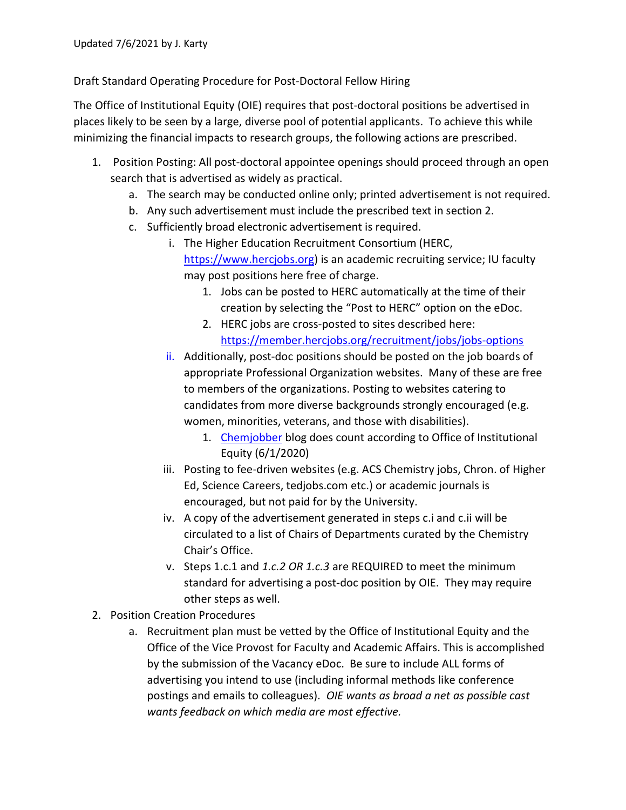Draft Standard Operating Procedure for Post-Doctoral Fellow Hiring

The Office of Institutional Equity (OIE) requires that post-doctoral positions be advertised in places likely to be seen by a large, diverse pool of potential applicants. To achieve this while minimizing the financial impacts to research groups, the following actions are prescribed.

- 1. Position Posting: All post-doctoral appointee openings should proceed through an open search that is advertised as widely as practical.
	- a. The search may be conducted online only; printed advertisement is not required.
	- b. Any such advertisement must include the prescribed text in section 2.
	- c. Sufficiently broad electronic advertisement is required.
		- i. The Higher Education Recruitment Consortium (HERC, https://www.hercjobs.org) is an academic recruiting service; IU faculty may post positions here free of charge.
			- 1. Jobs can be posted to HERC automatically at the time of their creation by selecting the "Post to HERC" option on the eDoc.
			- 2. HERC jobs are cross-posted to sites described here: https://member.hercjobs.org/recruitment/jobs/jobs-options
		- ii. Additionally, post-doc positions should be posted on the job boards of appropriate Professional Organization websites. Many of these are free to members of the organizations. Posting to websites catering to candidates from more diverse backgrounds strongly encouraged (e.g. women, minorities, veterans, and those with disabilities).
			- 1. Chemjobber blog does count according to Office of Institutional Equity (6/1/2020)
		- iii. Posting to fee-driven websites (e.g. ACS Chemistry jobs, Chron. of Higher Ed, Science Careers, tedjobs.com etc.) or academic journals is encouraged, but not paid for by the University.
		- iv. A copy of the advertisement generated in steps c.i and c.ii will be circulated to a list of Chairs of Departments curated by the Chemistry Chair's Office.
		- v. Steps 1.c.1 and 1.c.2 OR 1.c.3 are REQUIRED to meet the minimum standard for advertising a post-doc position by OIE. They may require other steps as well.
- 2. Position Creation Procedures
	- a. Recruitment plan must be vetted by the Office of Institutional Equity and the Office of the Vice Provost for Faculty and Academic Affairs. This is accomplished by the submission of the Vacancy eDoc. Be sure to include ALL forms of advertising you intend to use (including informal methods like conference postings and emails to colleagues). OIE wants as broad a net as possible cast wants feedback on which media are most effective.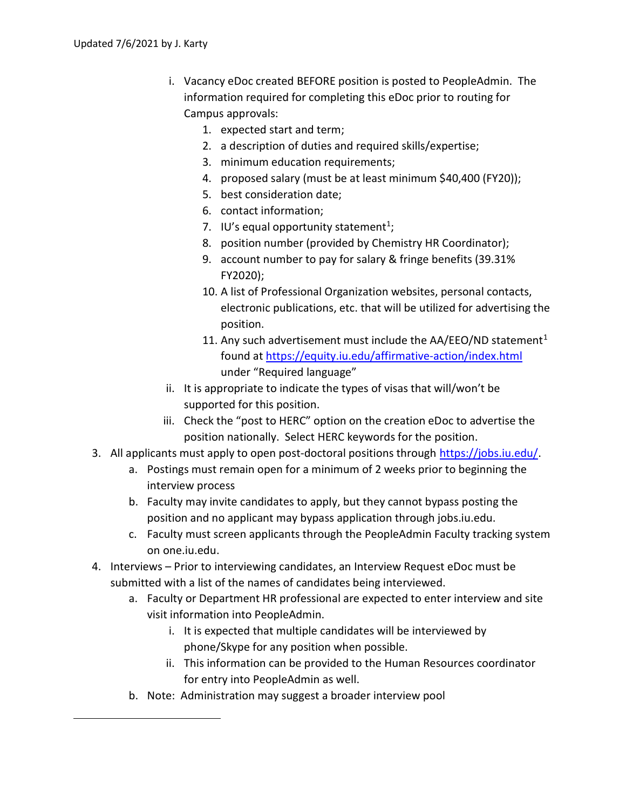- i. Vacancy eDoc created BEFORE position is posted to PeopleAdmin. The information required for completing this eDoc prior to routing for Campus approvals:
	- 1. expected start and term;
	- 2. a description of duties and required skills/expertise;
	- 3. minimum education requirements;
	- 4. proposed salary (must be at least minimum \$40,400 (FY20));
	- 5. best consideration date;
	- 6. contact information;
	- 7. IU's equal opportunity statement<sup>1</sup>;
	- 8. position number (provided by Chemistry HR Coordinator);
	- 9. account number to pay for salary & fringe benefits (39.31% FY2020);
	- 10. A list of Professional Organization websites, personal contacts, electronic publications, etc. that will be utilized for advertising the position.
	- 11. Any such advertisement must include the AA/EEO/ND statement<sup>1</sup> found at https://equity.iu.edu/affirmative-action/index.html under "Required language"
- ii. It is appropriate to indicate the types of visas that will/won't be supported for this position.
- iii. Check the "post to HERC" option on the creation eDoc to advertise the position nationally. Select HERC keywords for the position.
- 3. All applicants must apply to open post-doctoral positions through https://jobs.iu.edu/.
	- a. Postings must remain open for a minimum of 2 weeks prior to beginning the interview process
	- b. Faculty may invite candidates to apply, but they cannot bypass posting the position and no applicant may bypass application through jobs.iu.edu.
	- c. Faculty must screen applicants through the PeopleAdmin Faculty tracking system on one.iu.edu.
- 4. Interviews Prior to interviewing candidates, an Interview Request eDoc must be submitted with a list of the names of candidates being interviewed.
	- a. Faculty or Department HR professional are expected to enter interview and site visit information into PeopleAdmin.
		- i. It is expected that multiple candidates will be interviewed by phone/Skype for any position when possible.
		- ii. This information can be provided to the Human Resources coordinator for entry into PeopleAdmin as well.
	- b. Note: Administration may suggest a broader interview pool